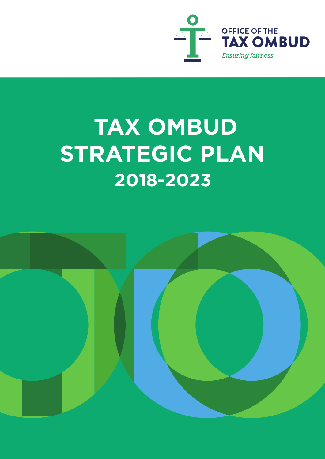

# **2018-2023 TAX OMBUD STRATEGIC PLAN**

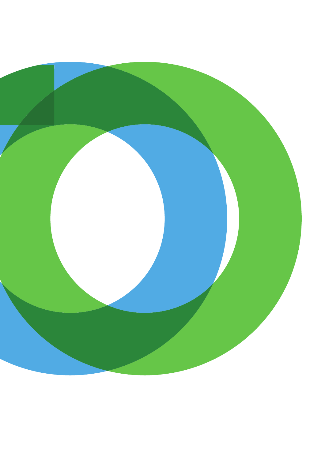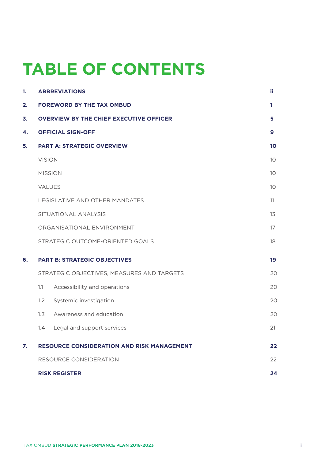## **TABLE OF CONTENTS**

| 1. | <b>ABBREVIATIONS</b>       |                                                   |    |  |  |  |
|----|----------------------------|---------------------------------------------------|----|--|--|--|
| 2. |                            | <b>FOREWORD BY THE TAX OMBUD</b>                  | 1  |  |  |  |
| 3. |                            | <b>OVERVIEW BY THE CHIEF EXECUTIVE OFFICER</b>    | 5  |  |  |  |
| 4. | <b>OFFICIAL SIGN-OFF</b>   |                                                   |    |  |  |  |
| 5. |                            | <b>PART A: STRATEGIC OVERVIEW</b>                 | 10 |  |  |  |
|    | <b>VISION</b>              |                                                   | 10 |  |  |  |
|    |                            | <b>MISSION</b>                                    | 10 |  |  |  |
|    | VALUES                     |                                                   | 10 |  |  |  |
|    |                            | LEGISLATIVE AND OTHER MANDATES                    | 11 |  |  |  |
|    |                            | SITUATIONAL ANALYSIS                              | 13 |  |  |  |
|    |                            | ORGANISATIONAL ENVIRONMENT                        | 17 |  |  |  |
|    |                            | STRATEGIC OUTCOME-ORIENTED GOALS                  | 18 |  |  |  |
| 6. |                            | <b>PART B: STRATEGIC OBJECTIVES</b>               | 19 |  |  |  |
|    |                            | STRATEGIC OBJECTIVES, MEASURES AND TARGETS        | 20 |  |  |  |
|    | 1.1                        | Accessibility and operations                      | 20 |  |  |  |
|    | 1.2                        | Systemic investigation                            | 20 |  |  |  |
|    | 1.3                        | Awareness and education                           | 20 |  |  |  |
|    | 1.4                        | Legal and support services                        | 21 |  |  |  |
| 7. |                            | <b>RESOURCE CONSIDERATION AND RISK MANAGEMENT</b> | 22 |  |  |  |
|    |                            | RESOURCE CONSIDERATION                            | 22 |  |  |  |
|    | <b>RISK REGISTER</b><br>24 |                                                   |    |  |  |  |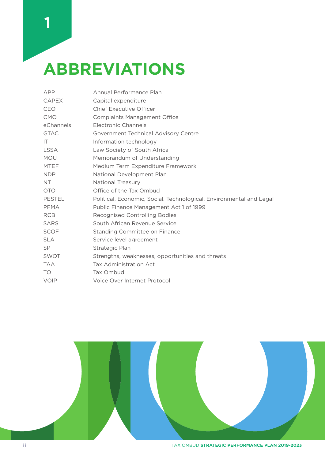## **ABBREVIATIONS**

**1**

| <b>APP</b>    | Annual Performance Plan                                             |
|---------------|---------------------------------------------------------------------|
| <b>CAPEX</b>  | Capital expenditure                                                 |
| CEO           | <b>Chief Executive Officer</b>                                      |
| <b>CMO</b>    | <b>Complaints Management Office</b>                                 |
| eChannels     | Electronic Channels                                                 |
| <b>GTAC</b>   | Government Technical Advisory Centre                                |
| IT            | Information technology                                              |
| <b>LSSA</b>   | Law Society of South Africa                                         |
| MOU           | Memorandum of Understanding                                         |
| <b>MTEF</b>   | Medium Term Expenditure Framework                                   |
| <b>NDP</b>    | National Development Plan                                           |
| NT.           | <b>National Treasury</b>                                            |
| <b>OTO</b>    | Office of the Tax Ombud                                             |
| <b>PESTEL</b> | Political, Economic, Social, Technological, Environmental and Legal |
| <b>PFMA</b>   | Public Finance Management Act 1 of 1999                             |
| <b>RCB</b>    | <b>Recognised Controlling Bodies</b>                                |
| <b>SARS</b>   | South African Revenue Service                                       |
| <b>SCOF</b>   | <b>Standing Committee on Finance</b>                                |
| <b>SLA</b>    | Service level agreement                                             |
| <b>SP</b>     | Strategic Plan                                                      |
| <b>SWOT</b>   | Strengths, weaknesses, opportunities and threats                    |
| <b>TAA</b>    | Tax Administration Act                                              |
| TO            | Tax Ombud                                                           |
| <b>VOIP</b>   | Voice Over Internet Protocol                                        |
|               |                                                                     |



TAX OMBUD **STRATEGIC PERFORMANCE PLAN 2019-2023**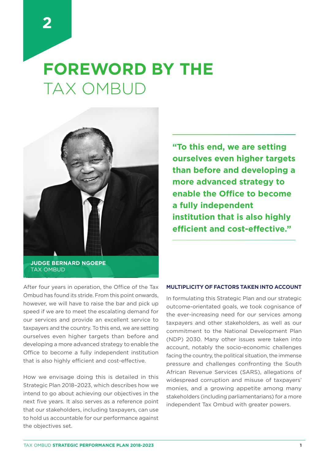## **FOREWORD BY THE**  TAX OMBUD



**JUDGE BERNARD NGOEPE** TAX OMBUD

**2**

**"To this end, we are setting ourselves even higher targets than before and developing a more advanced strategy to enable the Office to become a fully independent institution that is also highly efficient and cost-effective."**

After four years in operation, the Office of the Tax Ombud has found its stride. From this point onwards, however, we will have to raise the bar and pick up speed if we are to meet the escalating demand for our services and provide an excellent service to taxpayers and the country. To this end, we are setting ourselves even higher targets than before and developing a more advanced strategy to enable the Office to become a fully independent institution that is also highly efficient and cost-effective.

How we envisage doing this is detailed in this Strategic Plan 2018–2023, which describes how we intend to go about achieving our objectives in the next five years. It also serves as a reference point that our stakeholders, including taxpayers, can use to hold us accountable for our performance against the objectives set.

#### **MULTIPLICITY OF FACTORS TAKEN INTO ACCOUNT**

In formulating this Strategic Plan and our strategic outcome-orientated goals, we took cognisance of the ever-increasing need for our services among taxpayers and other stakeholders, as well as our commitment to the National Development Plan (NDP) 2030. Many other issues were taken into account, notably the socio-economic challenges facing the country, the political situation, the immense pressure and challenges confronting the South African Revenue Services (SARS), allegations of widespread corruption and misuse of taxpayers' monies, and a growing appetite among many stakeholders (including parliamentarians) for a more independent Tax Ombud with greater powers.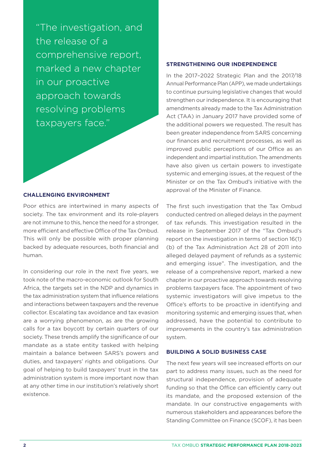"The investigation, and the release of a comprehensive report, marked a new chapter in our proactive approach towards resolving problems taxpayers face."

#### **CHALLENGING ENVIRONMENT**

Poor ethics are intertwined in many aspects of society. The tax environment and its role-players are not immune to this, hence the need for a stronger, more efficient and effective Office of the Tax Ombud. This will only be possible with proper planning backed by adequate resources, both financial and human.

In considering our role in the next five years, we took note of the macro-economic outlook for South Africa, the targets set in the NDP and dynamics in the tax administration system that influence relations and interactions between taxpayers and the revenue collector. Escalating tax avoidance and tax evasion are a worrying phenomenon, as are the growing calls for a tax boycott by certain quarters of our society. These trends amplify the significance of our mandate as a state entity tasked with helping maintain a balance between SARS's powers and duties, and taxpayers' rights and obligations. Our goal of helping to build taxpayers' trust in the tax administration system is more important now than at any other time in our institution's relatively short existence.

#### **STRENGTHENING OUR INDEPENDENCE**

In the 2017–2022 Strategic Plan and the 2017/18 Annual Performance Plan (APP), we made undertakings to continue pursuing legislative changes that would strengthen our independence. It is encouraging that amendments already made to the Tax Administration Act (TAA) in January 2017 have provided some of the additional powers we requested. The result has been greater independence from SARS concerning our finances and recruitment processes, as well as improved public perceptions of our Office as an independent and impartial institution. The amendments have also given us certain powers to investigate systemic and emerging issues, at the request of the Minister or on the Tax Ombud's initiative with the approval of the Minister of Finance.

The first such investigation that the Tax Ombud conducted centred on alleged delays in the payment of tax refunds. This investigation resulted in the release in September 2017 of the "Tax Ombud's report on the investigation in terms of section 16(1) (b) of the Tax Administration Act 28 of 2011 into alleged delayed payment of refunds as a systemic and emerging issue". The investigation, and the release of a comprehensive report, marked a new chapter in our proactive approach towards resolving problems taxpayers face. The appointment of two systemic investigators will give impetus to the Office's efforts to be proactive in identifying and monitoring systemic and emerging issues that, when addressed, have the potential to contribute to improvements in the country's tax administration system.

#### **BUILDING A SOLID BUSINESS CASE**

The next few years will see increased efforts on our part to address many issues, such as the need for structural independence, provision of adequate funding so that the Office can efficiently carry out its mandate, and the proposed extension of the mandate. In our constructive engagements with numerous stakeholders and appearances before the Standing Committee on Finance (SCOF), it has been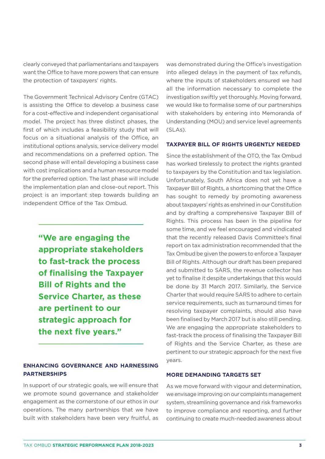clearly conveyed that parliamentarians and taxpayers want the Office to have more powers that can ensure the protection of taxpayers' rights.

The Government Technical Advisory Centre (GTAC) is assisting the Office to develop a business case for a cost-effective and independent organisational model. The project has three distinct phases, the first of which includes a feasibility study that will focus on a situational analysis of the Office, an institutional options analysis, service delivery model and recommendations on a preferred option. The second phase will entail developing a business case with cost implications and a human resource model for the preferred option. The last phase will include the implementation plan and close-out report. This project is an important step towards building an independent Office of the Tax Ombud.

> **"We are engaging the appropriate stakeholders to fast-track the process of finalising the Taxpayer Bill of Rights and the Service Charter, as these are pertinent to our strategic approach for the next five years."**

#### **ENHANCING GOVERNANCE AND HARNESSING PARTNERSHIPS**

In support of our strategic goals, we will ensure that we promote sound governance and stakeholder engagement as the cornerstone of our ethos in our operations. The many partnerships that we have built with stakeholders have been very fruitful, as

was demonstrated during the Office's investigation into alleged delays in the payment of tax refunds, where the inputs of stakeholders ensured we had all the information necessary to complete the investigation swiftly yet thoroughly. Moving forward, we would like to formalise some of our partnerships with stakeholders by entering into Memoranda of Understanding (MOU) and service level agreements (SLAs).

#### **TAXPAYER BILL OF RIGHTS URGENTLY NEEDED**

Since the establishment of the OTO, the Tax Ombud has worked tirelessly to protect the rights granted to taxpayers by the Constitution and tax legislation. Unfortunately, South Africa does not yet have a Taxpayer Bill of Rights, a shortcoming that the Office has sought to remedy by promoting awareness about taxpayers' rights as enshrined in our Constitution and by drafting a comprehensive Taxpayer Bill of Rights. This process has been in the pipeline for some time, and we feel encouraged and vindicated that the recently released Davis Committee's final report on tax administration recommended that the Tax Ombud be given the powers to enforce a Taxpayer Bill of Rights. Although our draft has been prepared and submitted to SARS, the revenue collector has yet to finalise it despite undertakings that this would be done by 31 March 2017. Similarly, the Service Charter that would require SARS to adhere to certain service requirements, such as turnaround times for resolving taxpayer complaints, should also have been finalised by March 2017 but is also still pending. We are engaging the appropriate stakeholders to fast-track the process of finalising the Taxpayer Bill of Rights and the Service Charter, as these are pertinent to our strategic approach for the next five years.

#### **MORE DEMANDING TARGETS SET**

As we move forward with vigour and determination, we envisage improving on our complaints management system, streamlining governance and risk frameworks to improve compliance and reporting, and further continuing to create much-needed awareness about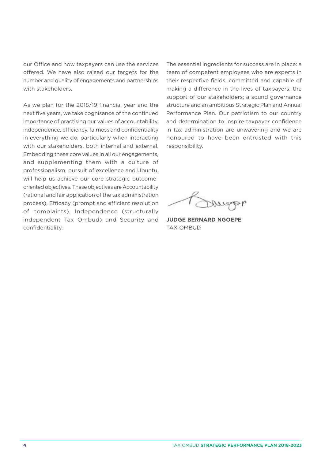our Office and how taxpayers can use the services offered. We have also raised our targets for the number and quality of engagements and partnerships with stakeholders.

As we plan for the 2018/19 financial year and the next five years, we take cognisance of the continued importance of practising our values of accountability, independence, efficiency, fairness and confidentiality in everything we do, particularly when interacting with our stakeholders, both internal and external. Embedding these core values in all our engagements, and supplementing them with a culture of professionalism, pursuit of excellence and Ubuntu, will help us achieve our core strategic outcomeoriented objectives. These objectives are Accountability (rational and fair application of the tax administration process), Efficacy (prompt and efficient resolution of complaints), Independence (structurally independent Tax Ombud) and Security and confidentiality.

The essential ingredients for success are in place: a team of competent employees who are experts in their respective fields, committed and capable of making a difference in the lives of taxpayers; the support of our stakeholders; a sound governance structure and an ambitious Strategic Plan and Annual Performance Plan. Our patriotism to our country and determination to inspire taxpayer confidence in tax administration are unwavering and we are honoured to have been entrusted with this responsibility.

**JUDGE BERNARD NGOEPE** TAX OMBUD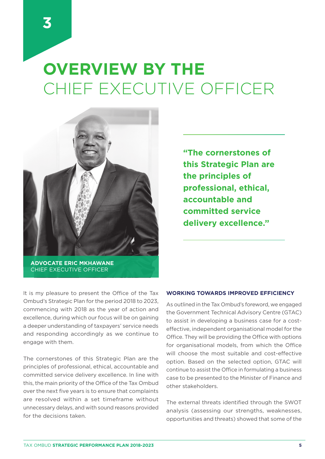## **OVERVIEW BY THE** CHIEF EXECUTIVE OFFICER



**ADVOCATE ERIC MKHAWANE** CHIEF EXECUTIVE OFFICER

**3**

**"The cornerstones of this Strategic Plan are the principles of professional, ethical, accountable and committed service delivery excellence."**

It is my pleasure to present the Office of the Tax Ombud's Strategic Plan for the period 2018 to 2023, commencing with 2018 as the year of action and excellence, during which our focus will be on gaining a deeper understanding of taxpayers' service needs and responding accordingly as we continue to engage with them.

The cornerstones of this Strategic Plan are the principles of professional, ethical, accountable and committed service delivery excellence. In line with this, the main priority of the Office of the Tax Ombud over the next five years is to ensure that complaints are resolved within a set timeframe without unnecessary delays, and with sound reasons provided for the decisions taken.

#### **WORKING TOWARDS IMPROVED EFFICIENCY**

As outlined in the Tax Ombud's foreword, we engaged the Government Technical Advisory Centre (GTAC) to assist in developing a business case for a costeffective, independent organisational model for the Office. They will be providing the Office with options for organisational models, from which the Office will choose the most suitable and cost-effective option. Based on the selected option, GTAC will continue to assist the Office in formulating a business case to be presented to the Minister of Finance and other stakeholders.

The external threats identified through the SWOT analysis (assessing our strengths, weaknesses, opportunities and threats) showed that some of the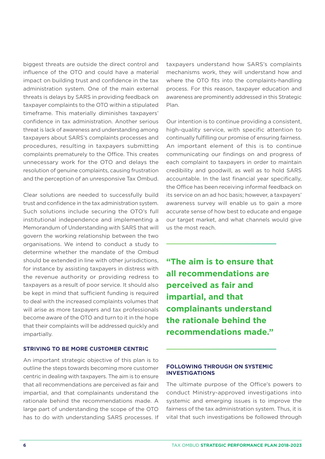biggest threats are outside the direct control and influence of the OTO and could have a material impact on building trust and confidence in the tax administration system. One of the main external threats is delays by SARS in providing feedback on taxpayer complaints to the OTO within a stipulated timeframe. This materially diminishes taxpayers' confidence in tax administration. Another serious threat is lack of awareness and understanding among taxpayers about SARS's complaints processes and procedures, resulting in taxpayers submitting complaints prematurely to the Office. This creates unnecessary work for the OTO and delays the resolution of genuine complaints, causing frustration and the perception of an unresponsive Tax Ombud.

Clear solutions are needed to successfully build trust and confidence in the tax administration system. Such solutions include securing the OTO's full institutional independence and implementing a Memorandum of Understanding with SARS that will govern the working relationship between the two organisations. We intend to conduct a study to determine whether the mandate of the Ombud should be extended in line with other jurisdictions, for instance by assisting taxpayers in distress with the revenue authority or providing redress to taxpayers as a result of poor service. It should also be kept in mind that sufficient funding is required to deal with the increased complaints volumes that will arise as more taxpayers and tax professionals become aware of the OTO and turn to it in the hope that their complaints will be addressed quickly and impartially.

#### **STRIVING TO BE MORE CUSTOMER CENTRIC**

An important strategic objective of this plan is to outline the steps towards becoming more customer centric in dealing with taxpayers. The aim is to ensure that all recommendations are perceived as fair and impartial, and that complainants understand the rationale behind the recommendations made. A large part of understanding the scope of the OTO has to do with understanding SARS processes. If

taxpayers understand how SARS's complaints mechanisms work, they will understand how and where the OTO fits into the complaints-handling process. For this reason, taxpayer education and awareness are prominently addressed in this Strategic Plan.

Our intention is to continue providing a consistent, high-quality service, with specific attention to continually fulfilling our promise of ensuring fairness. An important element of this is to continue communicating our findings on and progress of each complaint to taxpayers in order to maintain credibility and goodwill, as well as to hold SARS accountable. In the last financial year specifically, the Office has been receiving informal feedback on its service on an ad hoc basis; however, a taxpayers' awareness survey will enable us to gain a more accurate sense of how best to educate and engage our target market, and what channels would give us the most reach.

**"The aim is to ensure that all recommendations are perceived as fair and impartial, and that complainants understand the rationale behind the recommendations made."**

#### **FOLLOWING THROUGH ON SYSTEMIC INVESTIGATIONS**

The ultimate purpose of the Office's powers to conduct Ministry-approved investigations into systemic and emerging issues is to improve the fairness of the tax administration system. Thus, it is vital that such investigations be followed through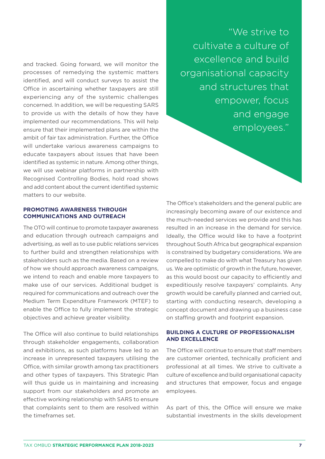and tracked. Going forward, we will monitor the processes of remedying the systemic matters identified, and will conduct surveys to assist the Office in ascertaining whether taxpayers are still experiencing any of the systemic challenges concerned. In addition, we will be requesting SARS to provide us with the details of how they have implemented our recommendations. This will help ensure that their implemented plans are within the ambit of fair tax administration. Further, the Office will undertake various awareness campaigns to educate taxpayers about issues that have been identified as systemic in nature. Among other things, we will use webinar platforms in partnership with Recognised Controlling Bodies, hold road shows and add content about the current identified systemic matters to our website.

#### **PROMOTING AWARENESS THROUGH COMMUNICATIONS AND OUTREACH**

The OTO will continue to promote taxpayer awareness and education through outreach campaigns and advertising, as well as to use public relations services to further build and strengthen relationships with stakeholders such as the media. Based on a review of how we should approach awareness campaigns, we intend to reach and enable more taxpayers to make use of our services. Additional budget is required for communications and outreach over the Medium Term Expenditure Framework (MTEF) to enable the Office to fully implement the strategic objectives and achieve greater visibility.

The Office will also continue to build relationships through stakeholder engagements, collaboration and exhibitions, as such platforms have led to an increase in unrepresented taxpayers utilising the Office, with similar growth among tax practitioners and other types of taxpayers. This Strategic Plan will thus guide us in maintaining and increasing support from our stakeholders and promote an effective working relationship with SARS to ensure that complaints sent to them are resolved within the timeframes set.

"We strive to cultivate a culture of excellence and build organisational capacity and structures that empower, focus and engage employees."

The Office's stakeholders and the general public are increasingly becoming aware of our existence and the much-needed services we provide and this has resulted in an increase in the demand for service. Ideally, the Office would like to have a footprint throughout South Africa but geographical expansion is constrained by budgetary considerations. We are compelled to make do with what Treasury has given us. We are optimistic of growth in the future, however, as this would boost our capacity to efficiently and expeditiously resolve taxpayers' complaints. Any growth would be carefully planned and carried out, starting with conducting research, developing a concept document and drawing up a business case on staffing growth and footprint expansion.

#### **BUILDING A CULTURE OF PROFESSIONALISM AND EXCELLENCE**

The Office will continue to ensure that staff members are customer oriented, technically proficient and professional at all times. We strive to cultivate a culture of excellence and build organisational capacity and structures that empower, focus and engage employees.

As part of this, the Office will ensure we make substantial investments in the skills development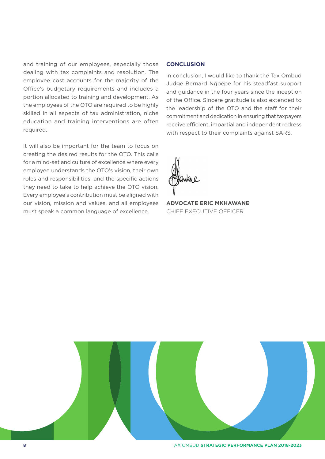and training of our employees, especially those dealing with tax complaints and resolution. The employee cost accounts for the majority of the Office's budgetary requirements and includes a portion allocated to training and development. As the employees of the OTO are required to be highly skilled in all aspects of tax administration, niche education and training interventions are often required.

It will also be important for the team to focus on creating the desired results for the OTO. This calls for a mind-set and culture of excellence where every employee understands the OTO's vision, their own roles and responsibilities, and the specific actions they need to take to help achieve the OTO vision. Every employee's contribution must be aligned with our vision, mission and values, and all employees must speak a common language of excellence.

#### **CONCLUSION**

In conclusion, I would like to thank the Tax Ombud Judge Bernard Ngoepe for his steadfast support and guidance in the four years since the inception of the Office. Sincere gratitude is also extended to the leadership of the OTO and the staff for their commitment and dedication in ensuring that taxpayers receive efficient, impartial and independent redress with respect to their complaints against SARS.

**ADVOCATE ERIC MKHAWANE** CHIEF EXECUTIVE OFFICER

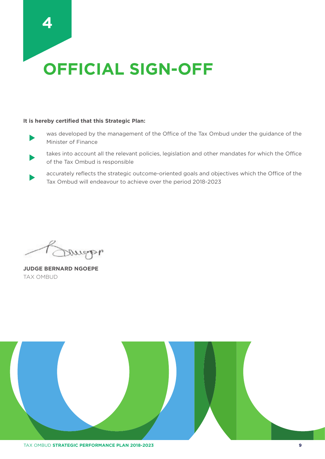

#### **It is hereby certified that this Strategic Plan:**

- was developed by the management of the Office of the Tax Ombud under the guidance of the Minister of Finance
- takes into account all the relevant policies, legislation and other mandates for which the Office of the Tax Ombud is responsible
- accurately reflects the strategic outcome-oriented goals and objectives which the Office of the Tax Ombud will endeavour to achieve over the period 2018-2023

augpp

**JUDGE BERNARD NGOEPE** TAX OMBUD

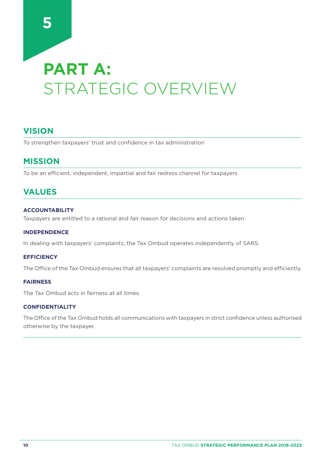## **PART A:** STRATEGIC OVERVIEW

### **VISION**

To strengthen taxpayers' trust and confidence in tax administration

### **MISSION**

To be an efficient, independent, impartial and fair redress channel for taxpayers

### **VALUES**

**ACCOUNTABILITY** Taxpayers are entitled to a rational and fair reason for decisions and actions taken.

#### **INDEPENDENCE**

In dealing with taxpayers' complaints, the Tax Ombud operates independently of SARS.

#### **EFFICIENCY**

The Office of the Tax Ombud ensures that all taxpayers' complaints are resolved promptly and efficiently.

#### **FAIRNESS**

The Tax Ombud acts in fairness at all times.

#### **CONFIDENTIALITY**

The Office of the Tax Ombud holds all communications with taxpayers in strict confidence unless authorised otherwise by the taxpayer.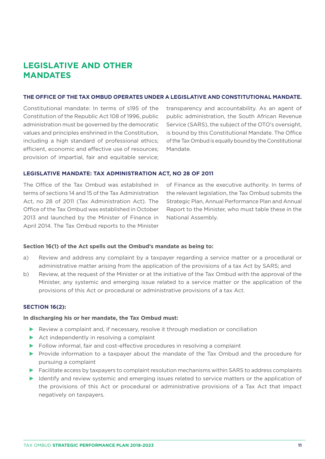### **LEGISLATIVE AND OTHER MANDATES**

#### **THE OFFICE OF THE TAX OMBUD OPERATES UNDER A LEGISLATIVE AND CONSTITUTIONAL MANDATE.**

Constitutional mandate: In terms of s195 of the Constitution of the Republic Act 108 of 1996, public administration must be governed by the democratic values and principles enshrined in the Constitution, including a high standard of professional ethics; efficient, economic and effective use of resources; provision of impartial, fair and equitable service; transparency and accountability. As an agent of public administration, the South African Revenue Service (SARS), the subject of the OTO's oversight, is bound by this Constitutional Mandate. The Office of the Tax Ombud is equally bound by the Constitutional Mandate.

#### **LEGISLATIVE MANDATE: TAX ADMINISTRATION ACT, NO 28 OF 2011**

The Office of the Tax Ombud was established in terms of sections 14 and 15 of the Tax Administration Act, no 28 of 2011 (Tax Administration Act). The Office of the Tax Ombud was established in October 2013 and launched by the Minister of Finance in April 2014. The Tax Ombud reports to the Minister

of Finance as the executive authority. In terms of the relevant legislation, the Tax Ombud submits the Strategic Plan, Annual Performance Plan and Annual Report to the Minister, who must table these in the National Assembly.

#### **Section 16(1) of the Act spells out the Ombud's mandate as being to:**

- a) Review and address any complaint by a taxpayer regarding a service matter or a procedural or administrative matter arising from the application of the provisions of a tax Act by SARS; and
- b) Review, at the request of the Minister or at the initiative of the Tax Ombud with the approval of the Minister, any systemic and emerging issue related to a service matter or the application of the provisions of this Act or procedural or administrative provisions of a tax Act.

#### **SECTION 16(2):**

#### **In discharging his or her mandate, the Tax Ombud must:**

- ► Review a complaint and, if necessary, resolve it through mediation or conciliation
- ► Act independently in resolving a complaint
- ► Follow informal, fair and cost-effective procedures in resolving a complaint
- ► Provide information to a taxpayer about the mandate of the Tax Ombud and the procedure for pursuing a complaint
- ► Facilitate access by taxpayers to complaint resolution mechanisms within SARS to address complaints
- ► Identify and review systemic and emerging issues related to service matters or the application of the provisions of this Act or procedural or administrative provisions of a Tax Act that impact negatively on taxpayers.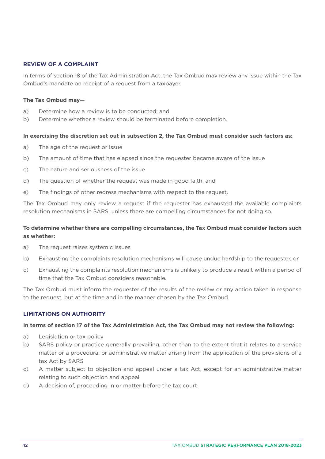#### **REVIEW OF A COMPLAINT**

In terms of section 18 of the Tax Administration Act, the Tax Ombud may review any issue within the Tax Ombud's mandate on receipt of a request from a taxpayer.

#### **The Tax Ombud may—**

- a) Determine how a review is to be conducted; and
- b) Determine whether a review should be terminated before completion.

#### **In exercising the discretion set out in subsection 2, the Tax Ombud must consider such factors as:**

- a) The age of the request or issue
- b) The amount of time that has elapsed since the requester became aware of the issue
- c) The nature and seriousness of the issue
- d) The question of whether the request was made in good faith, and
- e) The findings of other redress mechanisms with respect to the request.

The Tax Ombud may only review a request if the requester has exhausted the available complaints resolution mechanisms in SARS, unless there are compelling circumstances for not doing so.

#### **To determine whether there are compelling circumstances, the Tax Ombud must consider factors such as whether:**

- a) The request raises systemic issues
- b) Exhausting the complaints resolution mechanisms will cause undue hardship to the requester, or
- c) Exhausting the complaints resolution mechanisms is unlikely to produce a result within a period of time that the Tax Ombud considers reasonable.

The Tax Ombud must inform the requester of the results of the review or any action taken in response to the request, but at the time and in the manner chosen by the Tax Ombud.

#### **LIMITATIONS ON AUTHORITY**

#### **In terms of section 17 of the Tax Administration Act, the Tax Ombud may not review the following:**

- a) Legislation or tax policy
- b) SARS policy or practice generally prevailing, other than to the extent that it relates to a service matter or a procedural or administrative matter arising from the application of the provisions of a tax Act by SARS
- c) A matter subject to objection and appeal under a tax Act, except for an administrative matter relating to such objection and appeal
- d) A decision of, proceeding in or matter before the tax court.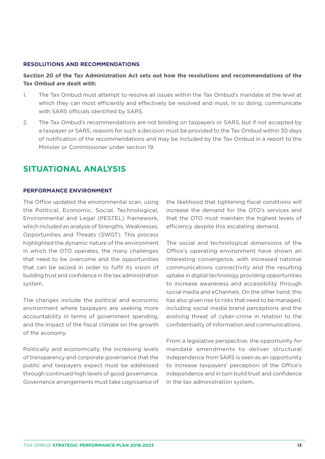#### **RESOLUTIONS AND RECOMMENDATIONS**

**Section 20 of the Tax Administration Act sets out how the resolutions and recommendations of the Tax Ombud are dealt with:**

- 1. The Tax Ombud must attempt to resolve all issues within the Tax Ombud's mandate at the level at which they can most efficiently and effectively be resolved and must, in so doing, communicate with SARS officials identified by SARS.
- 2. The Tax Ombud's recommendations are not binding on taxpayers or SARS, but if not accepted by a taxpayer or SARS, reasons for such a decision must be provided to the Tax Ombud within 30 days of notification of the recommendations and may be included by the Tax Ombud in a report to the Minister or Commissioner under section 19.

### **SITUATIONAL ANALYSIS**

#### **PERFORMANCE ENVIRONMENT**

The Office updated the environmental scan, using the Political, Economic, Social, Technological, Environmental and Legal (PESTEL) framework, which included an analysis of Strengths, Weaknesses, Opportunities and Threats (SWOT). This process highlighted the dynamic nature of the environment in which the OTO operates, the many challenges that need to be overcome and the opportunities that can be seized in order to fulfil its vision of building trust and confidence in the tax administration system.

The changes include the political and economic environment where taxpayers are seeking more accountability in terms of government spending, and the impact of the fiscal climate on the growth of the economy.

Politically and economically, the increasing levels of transparency and corporate governance that the public and taxpayers expect must be addressed through continued high levels of good governance. Governance arrangements must take cognisance of the likelihood that tightening fiscal conditions will increase the demand for the OTO's services and that the OTO must maintain the highest levels of efficiency despite this escalating demand.

The social and technological dimensions of the Office's operating environment have shown an interesting convergence, with increased national communications connectivity and the resulting uptake in digital technology providing opportunities to increase awareness and accessibility through social media and eChannels. On the other hand, this has also given rise to risks that need to be managed, including social media brand perceptions and the evolving threat of cyber-crime in relation to the confidentiality of information and communications.

From a legislative perspective, the opportunity for mandate amendments to deliver structural independence from SARS is seen as an opportunity to increase taxpayers' perception of the Office's independence and in turn build trust and confidence in the tax administration system.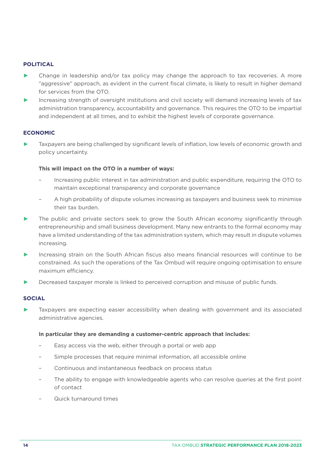#### **POLITICAL**

- Change in leadership and/or tax policy may change the approach to tax recoveries. A more "aggressive" approach, as evident in the current fiscal climate, is likely to result in higher demand for services from the OTO.
- ► Increasing strength of oversight institutions and civil society will demand increasing levels of tax administration transparency, accountability and governance. This requires the OTO to be impartial and independent at all times, and to exhibit the highest levels of corporate governance.

#### **ECONOMIC**

Taxpayers are being challenged by significant levels of inflation, low levels of economic growth and policy uncertainty.

#### **This will impact on the OTO in a number of ways:**

- Increasing public interest in tax administration and public expenditure, requiring the OTO to maintain exceptional transparency and corporate governance
- A high probability of dispute volumes increasing as taxpayers and business seek to minimise their tax burden.
- The public and private sectors seek to grow the South African economy significantly through entrepreneurship and small business development. Many new entrants to the formal economy may have a limited understanding of the tax administration system, which may result in dispute volumes increasing.
- ► Increasing strain on the South African fiscus also means financial resources will continue to be constrained. As such the operations of the Tax Ombud will require ongoing optimisation to ensure maximum efficiency.
- Decreased taxpayer morale is linked to perceived corruption and misuse of public funds.

#### **SOCIAL**

Taxpayers are expecting easier accessibility when dealing with government and its associated administrative agencies.

#### **In particular they are demanding a customer-centric approach that includes:**

- Easy access via the web, either through a portal or web app
- Simple processes that require minimal information, all accessible online
- Continuous and instantaneous feedback on process status
- The ability to engage with knowledgeable agents who can resolve queries at the first point of contact
- Quick turnaround times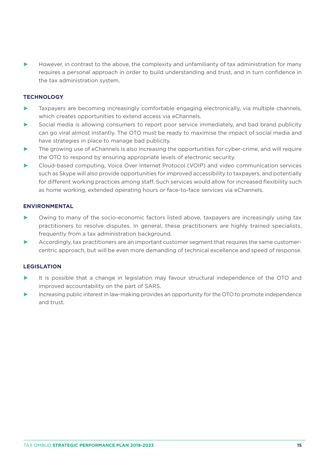However, in contrast to the above, the complexity and unfamiliarity of tax administration for many requires a personal approach in order to build understanding and trust, and in turn confidence in the tax administration system.

#### **TECHNOLOGY**

- Taxpayers are becoming increasingly comfortable engaging electronically, via multiple channels, which creates opportunities to extend access via eChannels.
- ► Social media is allowing consumers to report poor service immediately, and bad brand publicity can go viral almost instantly. The OTO must be ready to maximise the impact of social media and have strategies in place to manage bad publicity.
- ► The growing use of eChannels is also increasing the opportunities for cyber-crime, and will require the OTO to respond by ensuring appropriate levels of electronic security.
- ► Cloud-based computing, Voice Over Internet Protocol (VOIP) and video communication services such as Skype will also provide opportunities for improved accessibility to taxpayers, and potentially for different working practices among staff. Such services would allow for increased flexibility such as home working, extended operating hours or face-to-face services via eChannels.

#### **ENVIRONMENTAL**

- ► Owing to many of the socio-economic factors listed above, taxpayers are increasingly using tax practitioners to resolve disputes. In general, these practitioners are highly trained specialists, frequently from a tax administration background.
- Accordingly, tax practitioners are an important customer segment that requires the same customercentric approach, but will be even more demanding of technical excellence and speed of response.

#### **LEGISLATION**

- ► It is possible that a change in legislation may favour structural independence of the OTO and improved accountability on the part of SARS.
- Increasing public interest in law-making provides an opportunity for the OTO to promote independence and trust.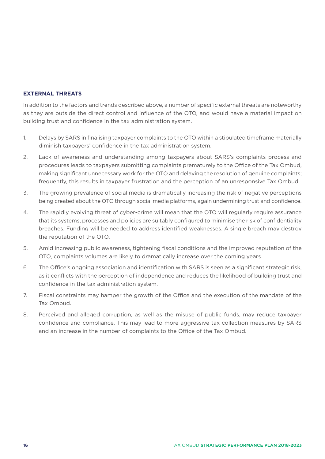#### **EXTERNAL THREATS**

In addition to the factors and trends described above, a number of specific external threats are noteworthy as they are outside the direct control and influence of the OTO, and would have a material impact on building trust and confidence in the tax administration system.

- 1. Delays by SARS in finalising taxpayer complaints to the OTO within a stipulated timeframe materially diminish taxpayers' confidence in the tax administration system.
- 2. Lack of awareness and understanding among taxpayers about SARS's complaints process and procedures leads to taxpayers submitting complaints prematurely to the Office of the Tax Ombud, making significant unnecessary work for the OTO and delaying the resolution of genuine complaints; frequently, this results in taxpayer frustration and the perception of an unresponsive Tax Ombud.
- 3. The growing prevalence of social media is dramatically increasing the risk of negative perceptions being created about the OTO through social media platforms, again undermining trust and confidence.
- 4. The rapidly evolving threat of cyber-crime will mean that the OTO will regularly require assurance that its systems, processes and policies are suitably configured to minimise the risk of confidentiality breaches. Funding will be needed to address identified weaknesses. A single breach may destroy the reputation of the OTO.
- 5. Amid increasing public awareness, tightening fiscal conditions and the improved reputation of the OTO, complaints volumes are likely to dramatically increase over the coming years.
- 6. The Office's ongoing association and identification with SARS is seen as a significant strategic risk, as it conflicts with the perception of independence and reduces the likelihood of building trust and confidence in the tax administration system.
- 7. Fiscal constraints may hamper the growth of the Office and the execution of the mandate of the Tax Ombud.
- 8. Perceived and alleged corruption, as well as the misuse of public funds, may reduce taxpayer confidence and compliance. This may lead to more aggressive tax collection measures by SARS and an increase in the number of complaints to the Office of the Tax Ombud.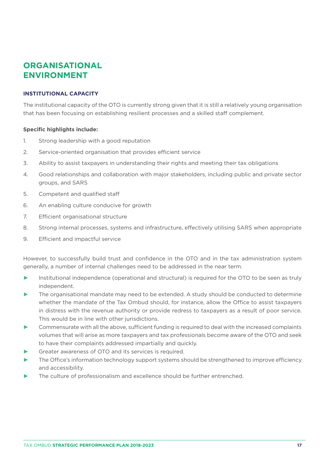### **ORGANISATIONAL ENVIRONMENT**

#### **INSTITUTIONAL CAPACITY**

The institutional capacity of the OTO is currently strong given that it is still a relatively young organisation that has been focusing on establishing resilient processes and a skilled staff complement.

#### **Specific highlights include:**

- 1. Strong leadership with a good reputation
- 2. Service-oriented organisation that provides efficient service
- 3. Ability to assist taxpayers in understanding their rights and meeting their tax obligations
- 4. Good relationships and collaboration with major stakeholders, including public and private sector groups, and SARS
- 5. Competent and qualified staff
- 6. An enabling culture conducive for growth
- 7. Efficient organisational structure
- 8. Strong internal processes, systems and infrastructure, effectively utilising SARS when appropriate
- 9. Efficient and impactful service

However, to successfully build trust and confidence in the OTO and in the tax administration system generally, a number of internal challenges need to be addressed in the near term.

- Institutional independence (operational and structural) is required for the OTO to be seen as truly independent.
- The organisational mandate may need to be extended. A study should be conducted to determine whether the mandate of the Tax Ombud should, for instance, allow the Office to assist taxpayers in distress with the revenue authority or provide redress to taxpayers as a result of poor service. This would be in line with other jurisdictions.
- ► Commensurate with all the above, sufficient funding is required to deal with the increased complaints volumes that will arise as more taxpayers and tax professionals become aware of the OTO and seek to have their complaints addressed impartially and quickly.
- Greater awareness of OTO and its services is required.
- The Office's information technology support systems should be strengthened to improve efficiency and accessibility.
- The culture of professionalism and excellence should be further entrenched.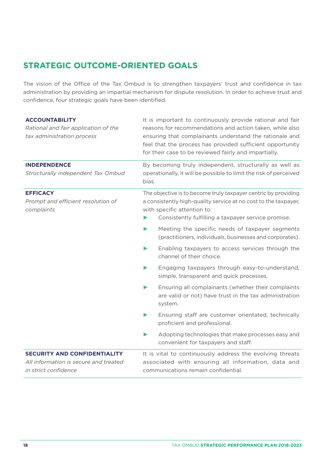## **STRATEGIC OUTCOME-ORIENTED GOALS**

The vision of the Office of the Tax Ombud is to strengthen taxpayers' trust and confidence in tax administration by providing an impartial mechanism for dispute resolution. In order to achieve trust and confidence, four strategic goals have been identified.

| <b>ACCOUNTABILITY</b><br>Rational and fair application of the<br>tax administration process          | It is important to continuously provide rational and fair<br>reasons for recommendations and action taken, while also<br>ensuring that complainants understand the rationale and<br>feel that the process has provided sufficient opportunity<br>for their case to be reviewed fairly and impartially. |  |  |  |  |  |
|------------------------------------------------------------------------------------------------------|--------------------------------------------------------------------------------------------------------------------------------------------------------------------------------------------------------------------------------------------------------------------------------------------------------|--|--|--|--|--|
| <b>INDEPENDENCE</b><br>Structurally independent Tax Ombud                                            | By becoming truly independent, structurally as well as<br>operationally, it will be possible to limit the risk of perceived<br>bias.                                                                                                                                                                   |  |  |  |  |  |
| <b>EFFICACY</b><br>Prompt and efficient resolution of<br>complaints                                  | The objective is to become truly taxpayer centric by providing<br>a consistently high-quality service at no cost to the taxpayer,<br>with specific attention to:<br>Consistently fulfilling a taxpayer service promise.                                                                                |  |  |  |  |  |
|                                                                                                      | Meeting the specific needs of taxpayer segments<br>▶<br>(practitioners, individuals, businesses and corporates).                                                                                                                                                                                       |  |  |  |  |  |
|                                                                                                      | Enabling taxpayers to access services through the<br>▶<br>channel of their choice.                                                                                                                                                                                                                     |  |  |  |  |  |
|                                                                                                      | Engaging taxpayers through easy-to-understand,<br>▶<br>simple, transparent and quick processes.                                                                                                                                                                                                        |  |  |  |  |  |
|                                                                                                      | Ensuring all complainants (whether their complaints<br>▶<br>are valid or not) have trust in the tax administration<br>system.                                                                                                                                                                          |  |  |  |  |  |
|                                                                                                      | Ensuring staff are customer orientated, technically<br>▶<br>proficient and professional.                                                                                                                                                                                                               |  |  |  |  |  |
|                                                                                                      | Adopting technologies that make processes easy and<br>convenient for taxpayers and staff.                                                                                                                                                                                                              |  |  |  |  |  |
| <b>SECURITY AND CONFIDENTIALITY</b><br>All information is secure and treated<br>in strict confidence | It is vital to continuously address the evolving threats<br>associated with ensuring all information, data and<br>communications remain confidential.                                                                                                                                                  |  |  |  |  |  |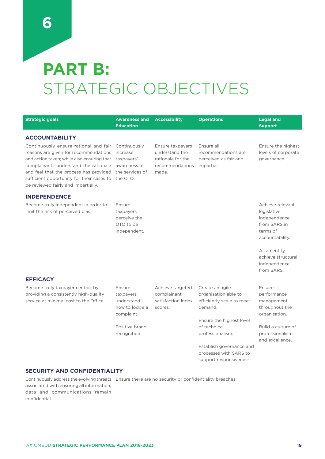## **PART B:** STRATEGIC OBJECTIVES

| <b>Strategic goals</b>                                                                                                                                                                                                                                                                              | <b>Awareness and</b><br><b>Education</b>                                                            | <b>Accessibility</b>                                                                | <b>Operations</b>                                                                                                                                                                                                                | <b>Legal and</b><br><b>Support</b>                                                                                                                                  |
|-----------------------------------------------------------------------------------------------------------------------------------------------------------------------------------------------------------------------------------------------------------------------------------------------------|-----------------------------------------------------------------------------------------------------|-------------------------------------------------------------------------------------|----------------------------------------------------------------------------------------------------------------------------------------------------------------------------------------------------------------------------------|---------------------------------------------------------------------------------------------------------------------------------------------------------------------|
| <b>ACCOUNTABILITY</b>                                                                                                                                                                                                                                                                               |                                                                                                     |                                                                                     |                                                                                                                                                                                                                                  |                                                                                                                                                                     |
| Continuously ensure rational and fair<br>reasons are given for recommendations<br>and action taken; while also ensuring that<br>complainants understand the rationale<br>and feel that the process has provided<br>sufficient opportunity for their cases to<br>be reviewed fairly and impartially. | Continuously<br>increase<br>taxpayers'<br>awareness of<br>the services of<br>the OTO.               | Ensure taxpayers<br>understand the<br>rationale for the<br>recommendations<br>made. | Ensure all<br>recommendations are<br>perceived as fair and<br>impartial.                                                                                                                                                         | Ensure the highest<br>levels of corporate<br>governance.                                                                                                            |
| <b>INDEPENDENCE</b>                                                                                                                                                                                                                                                                                 |                                                                                                     |                                                                                     |                                                                                                                                                                                                                                  |                                                                                                                                                                     |
| Become truly independent in order to<br>limit the risk of perceived bias.<br><b>EFFICACY</b>                                                                                                                                                                                                        | Ensure<br>taxpayers<br>perceive the<br>OTO to be<br>independent.                                    |                                                                                     |                                                                                                                                                                                                                                  | Achieve relevant<br>legislative<br>independence<br>from SARS in<br>terms of<br>accountability.<br>As an entity,<br>achieve structural<br>independence<br>from SARS. |
| Become truly taxpayer centric, by<br>providing a consistently high-quality<br>service at minimal cost to the Office.                                                                                                                                                                                | Ensure<br>taxpayers<br>understand<br>how to lodge a<br>complaint.<br>Positive brand<br>recognition. | Achieve targeted<br>complainant<br>satisfaction index<br>scores.                    | Create an agile<br>organisation able to<br>efficiently scale to meet<br>demand.<br>Ensure the highest level<br>of technical<br>professionalism.<br>Establish governance and<br>processes with SARS to<br>support responsiveness. | Ensure<br>performance<br>management<br>throughout the<br>organisation.<br>Build a culture of<br>professionalism<br>and excellence.                                  |

#### **SECURITY AND CONFIDENTIALITY**

Continuously address the evolving threats Ensure there are no security or confidentiality breaches. associated with ensuring all information, data and communications remain confidential.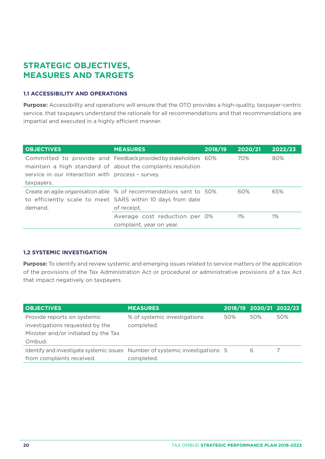## **STRATEGIC OBJECTIVES, MEASURES AND TARGETS**

#### **1.1 ACCESSIBILITY AND OPERATIONS**

**Purpose:** Accessibility and operations will ensure that the OTO provides a high-quality, taxpayer-centric service, that taxpayers understand the rationale for all recommendations and that recommendations are impartial and executed in a highly efficient manner.

| <b>OBJECTIVES</b>                                 | <b>MEASURES</b>                                                    | 2018/19 | 2020/21 | 2022/23 |
|---------------------------------------------------|--------------------------------------------------------------------|---------|---------|---------|
|                                                   | Committed to provide and Feedback provided by stakeholders 60%     |         | 70%     | 80%     |
|                                                   | maintain a high standard of about the complaints resolution        |         |         |         |
| service in our interaction with process - survey. |                                                                    |         |         |         |
| taxpayers.                                        |                                                                    |         |         |         |
|                                                   | Create an agile organisation able % of recommendations sent to 50% |         | 60%     | 65%     |
|                                                   | to efficiently scale to meet SARS within 10 days from date         |         |         |         |
| demand.                                           | of receipt.                                                        |         |         |         |
|                                                   | Average cost reduction per 0%                                      |         | $1\%$   | $1\%$   |
|                                                   | complaint, year on year.                                           |         |         |         |

#### **1.2 SYSTEMIC INVESTIGATION**

**Purpose:** To identify and review systemic and emerging issues related to service matters or the application of the provisions of the Tax Administration Act or procedural or administrative provisions of a tax Act that impact negatively on taxpayers.

| <b>OBJECTIVES</b>                                                            | <b>MEASURES</b>              |     |     | 2018/19 2020/21 2022/23 |
|------------------------------------------------------------------------------|------------------------------|-----|-----|-------------------------|
| Provide reports on systemic                                                  | % of systemic investigations | 50% | 50% | 50%                     |
| investigations requested by the                                              | completed.                   |     |     |                         |
| Minister and/or initiated by the Tax                                         |                              |     |     |                         |
| Ombud.                                                                       |                              |     |     |                         |
| Identify and investigate systemic issues Number of systemic investigations 5 |                              |     | 6   |                         |
| from complaints received.                                                    | completed.                   |     |     |                         |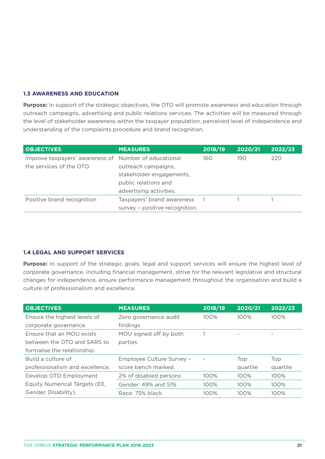#### **1.3 AWARENESS AND EDUCATION**

**Purpose:** In support of the strategic objectives, the OTO will promote awareness and education through outreach campaigns, advertising and public relations services. The activities will be measured through the level of stakeholder awareness within the taxpayer population, perceived level of independence and understanding of the complaints procedure and brand recognition.

| <b>OBJECTIVES</b>                                     | <b>MEASURES</b>                | 2018/19 | 2020/21 | 2022/23 |  |
|-------------------------------------------------------|--------------------------------|---------|---------|---------|--|
| Improve taxpayers' awareness of Number of educational |                                | 160     | 190     | 220     |  |
| the services of the OTO.                              | outreach campaigns,            |         |         |         |  |
|                                                       | stakeholder engagements,       |         |         |         |  |
|                                                       | public relations and           |         |         |         |  |
|                                                       | advertising activities.        |         |         |         |  |
| Positive brand recognition                            | Taxpayers' brand awareness     |         |         |         |  |
|                                                       | survey - positive recognition. |         |         |         |  |

#### **1.4 LEGAL AND SUPPORT SERVICES**

**Purpose:** In support of the strategic goals, legal and support services will ensure the highest level of corporate governance, including financial management, strive for the relevant legislative and structural changes for independence, ensure performance management throughout the organisation and build a culture of professionalism and excellence.

| <b>OBJECTIVES</b>               | <b>MEASURES</b>           | 2018/19 | 2020/21  | 2022/23                  |
|---------------------------------|---------------------------|---------|----------|--------------------------|
| Ensure the highest levels of    | Zero governance audit     | 100%    | 100%     | 100%                     |
| corporate governance.           | findings                  |         |          |                          |
| Ensure that an MOU exists       | MOU signed off by both    |         |          | $\overline{\phantom{a}}$ |
| between the OTO and SARS to     | parties.                  |         |          |                          |
| formalise the relationship.     |                           |         |          |                          |
| Build a culture of              | Employee Culture Survey - |         | Top      | Top                      |
| professionalism and excellence. | score bench marked.       |         | quartile | quartile                 |
| Develop OTO Employment          | 2% of disabled persons    | 100%    | 100%     | 100%                     |
| Equity Numerical Targets (EE,   | Gender: 49% and 51%       | 100%    | 100%     | 100%                     |
| Gender, Disability).            | Race: 75% black           | 100%    | $100\%$  | 100%                     |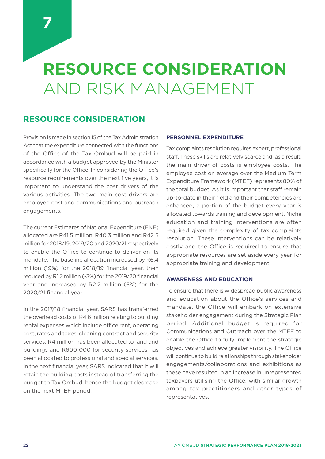## **RESOURCE CONSIDERATION**  AND RISK MANAGEMENT

### **RESOURCE CONSIDERATION**

Provision is made in section 15 of the Tax Administration Act that the expenditure connected with the functions of the Office of the Tax Ombud will be paid in accordance with a budget approved by the Minister specifically for the Office. In considering the Office's resource requirements over the next five years, it is important to understand the cost drivers of the various activities. The two main cost drivers are employee cost and communications and outreach engagements.

The current Estimates of National Expenditure (ENE) allocated are R41.5 million, R40.3 million and R42.5 million for 2018/19, 2019/20 and 2020/21 respectively to enable the Office to continue to deliver on its mandate. The baseline allocation increased by R6.4 million (19%) for the 2018/19 financial year, then reduced by R1.2 million (-3%) for the 2019/20 financial year and increased by R2.2 million (6%) for the 2020/21 financial year.

In the 2017/18 financial year, SARS has transferred the overhead costs of R4.6 million relating to building rental expenses which include office rent, operating cost, rates and taxes, cleaning contract and security services. R4 million has been allocated to land and buildings and R600 000 for security services has been allocated to professional and special services. In the next financial year, SARS indicated that it will retain the building costs instead of transferring the budget to Tax Ombud, hence the budget decrease on the next MTEF period.

#### **PERSONNEL EXPENDITURE**

Tax complaints resolution requires expert, professional staff. These skills are relatively scarce and, as a result, the main driver of costs is employee costs. The employee cost on average over the Medium Term Expenditure Framework (MTEF) represents 80% of the total budget. As it is important that staff remain up-to-date in their field and their competencies are enhanced, a portion of the budget every year is allocated towards training and development. Niche education and training interventions are often required given the complexity of tax complaints resolution. These interventions can be relatively costly and the Office is required to ensure that appropriate resources are set aside every year for appropriate training and development.

#### **AWARENESS AND EDUCATION**

To ensure that there is widespread public awareness and education about the Office's services and mandate, the Office will embark on extensive stakeholder engagement during the Strategic Plan period. Additional budget is required for Communications and Outreach over the MTEF to enable the Office to fully implement the strategic objectives and achieve greater visibility. The Office will continue to build relationships through stakeholder engagements/collaborations and exhibitions as these have resulted in an increase in unrepresented taxpayers utilising the Office, with similar growth among tax practitioners and other types of representatives.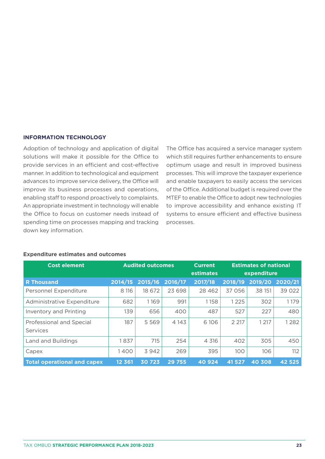#### **INFORMATION TECHNOLOGY**

Adoption of technology and application of digital solutions will make it possible for the Office to provide services in an efficient and cost-effective manner. In addition to technological and equipment advances to improve service delivery, the Office will improve its business processes and operations, enabling staff to respond proactively to complaints. An appropriate investment in technology will enable the Office to focus on customer needs instead of spending time on processes mapping and tracking down key information.

The Office has acquired a service manager system which still requires further enhancements to ensure optimum usage and result in improved business processes. This will improve the taxpayer experience and enable taxpayers to easily access the services of the Office. Additional budget is required over the MTEF to enable the Office to adopt new technologies to improve accessibility and enhance existing IT systems to ensure efficient and effective business processes.

| <b>Cost element</b>                  | <b>Audited outcomes</b> |         | <b>Current</b><br>estimates |          | <b>Estimates of national</b><br>expenditure |         |         |
|--------------------------------------|-------------------------|---------|-----------------------------|----------|---------------------------------------------|---------|---------|
| <b>R</b> Thousand                    | 2014/15                 | 2015/16 | 2016/17                     | 2017/18  | 2018/19                                     | 2019/20 | 2020/21 |
| Personnel Expenditure                | 8 116                   | 18 672  | 23 698                      | 28 4 6 2 | 37 056                                      | 38 151  | 39 0 22 |
| Administrative Expenditure           | 682                     | 1169    | 991                         | 1158     | 1225                                        | 302     | 1179    |
| Inventory and Printing               | 139                     | 656     | 400                         | 487      | 527                                         | 227     | 480     |
| Professional and Special<br>Services | 187                     | 5 5 6 9 | 4 1 4 3                     | 6 1 0 6  | 2 2 1 7                                     | 1 2 1 7 | 1282    |
| Land and Buildings                   | 1837                    | 715     | 254                         | 4 3 1 6  | 402                                         | 305     | 450     |
| Capex                                | 1400                    | 3942    | 269                         | 395      | 100                                         | 106     | 112     |
| <b>Total operational and capex</b>   | 12 3 61                 | 30723   | 29 755                      | 40 924   | 41527                                       | 40 308  | 42 525  |

#### **Expenditure estimates and outcomes**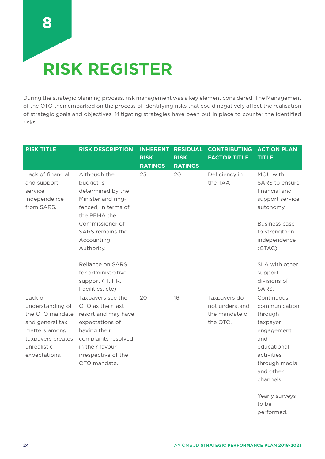**8**

## **RISK REGISTER**

During the strategic planning process, risk management was a key element considered. The Management of the OTO then embarked on the process of identifying risks that could negatively affect the realisation of strategic goals and objectives. Mitigating strategies have been put in place to counter the identified risks.

| <b>RISK TITLE</b>                                                                                                                       | <b>RISK DESCRIPTION</b>                                                                                                                                                                                | <b>INHERENT</b><br><b>RISK</b><br><b>RATINGS</b> | <b>RESIDUAL</b><br><b>RISK</b><br><b>RATINGS</b> | <b>CONTRIBUTING</b><br><b>FACTOR TITLE</b>                   | <b>ACTION PLAN</b><br><b>TITLE</b>                                                                                                                       |
|-----------------------------------------------------------------------------------------------------------------------------------------|--------------------------------------------------------------------------------------------------------------------------------------------------------------------------------------------------------|--------------------------------------------------|--------------------------------------------------|--------------------------------------------------------------|----------------------------------------------------------------------------------------------------------------------------------------------------------|
| Lack of financial<br>and support<br>service<br>independence<br>from SARS.                                                               | Although the<br>budget is<br>determined by the<br>Minister and ring-<br>fenced, in terms of<br>the PFMA the<br>Commissioner of<br>SARS remains the                                                     | 25                                               | 20                                               | Deficiency in<br>the TAA                                     | MOU with<br>SARS to ensure<br>financial and<br>support service<br>autonomy.<br><b>Business case</b><br>to strengthen                                     |
|                                                                                                                                         | Accounting<br>Authority.<br>Reliance on SARS<br>for administrative<br>support (IT, HR,                                                                                                                 |                                                  |                                                  |                                                              | independence<br>(GTAC).<br>SLA with other<br>support<br>divisions of                                                                                     |
| Lack of<br>understanding of<br>the OTO mandate<br>and general tax<br>matters among<br>taxpayers creates<br>unrealistic<br>expectations. | Facilities, etc).<br>Taxpayers see the<br>OTO as their last<br>resort and may have<br>expectations of<br>having their<br>complaints resolved<br>in their favour<br>irrespective of the<br>OTO mandate. | 20                                               | 16                                               | Taxpayers do<br>not understand<br>the mandate of<br>the OTO. | SARS.<br>Continuous<br>communication<br>through<br>taxpayer<br>engagement<br>and<br>educational<br>activities<br>through media<br>and other<br>channels. |
|                                                                                                                                         |                                                                                                                                                                                                        |                                                  |                                                  |                                                              | Yearly surveys<br>to be<br>performed.                                                                                                                    |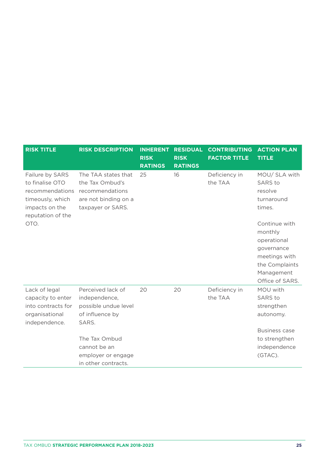| <b>RISK TITLE</b>                                                                                                | <b>RISK DESCRIPTION</b>                                                                                | <b>INHERENT</b><br><b>RISK</b><br><b>RATINGS</b> | <b>RESIDUAL</b><br><b>RISK</b><br><b>RATINGS</b> | <b>CONTRIBUTING</b><br><b>FACTOR TITLE</b> | <b>ACTION PLAN</b><br><b>TITLE</b>                                 |
|------------------------------------------------------------------------------------------------------------------|--------------------------------------------------------------------------------------------------------|--------------------------------------------------|--------------------------------------------------|--------------------------------------------|--------------------------------------------------------------------|
| Failure by SARS<br>to finalise OTO<br>recommendations<br>timeously, which<br>impacts on the<br>reputation of the | The TAA states that<br>the Tax Ombud's<br>recommendations<br>are not binding on a<br>taxpayer or SARS. | 25                                               | 16                                               | Deficiency in<br>the TAA                   | MOU/ SLA with<br><b>SARS</b> to<br>resolve<br>turnaround<br>times. |
| OTO.                                                                                                             |                                                                                                        |                                                  |                                                  |                                            | Continue with<br>monthly<br>operational<br>governance              |
|                                                                                                                  |                                                                                                        |                                                  |                                                  |                                            | meetings with                                                      |
|                                                                                                                  |                                                                                                        |                                                  |                                                  |                                            | the Complaints<br>Management                                       |
|                                                                                                                  |                                                                                                        |                                                  |                                                  |                                            | Office of SARS.                                                    |
| Lack of legal<br>capacity to enter<br>into contracts for<br>organisational<br>independence.                      | Perceived lack of<br>independence,<br>possible undue level<br>of influence by<br>SARS.                 | 20                                               | 20                                               | Deficiency in<br>the TAA                   | MOU with<br><b>SARS</b> to<br>strengthen<br>autonomy.              |
|                                                                                                                  |                                                                                                        |                                                  |                                                  |                                            | <b>Business case</b>                                               |
|                                                                                                                  | The Tax Ombud                                                                                          |                                                  |                                                  |                                            | to strengthen                                                      |
|                                                                                                                  | cannot be an<br>employer or engage                                                                     |                                                  |                                                  |                                            | independence<br>(GTAC).                                            |
|                                                                                                                  | in other contracts.                                                                                    |                                                  |                                                  |                                            |                                                                    |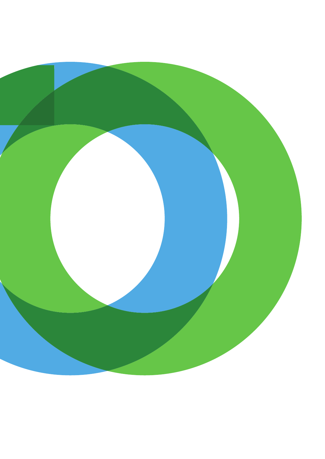